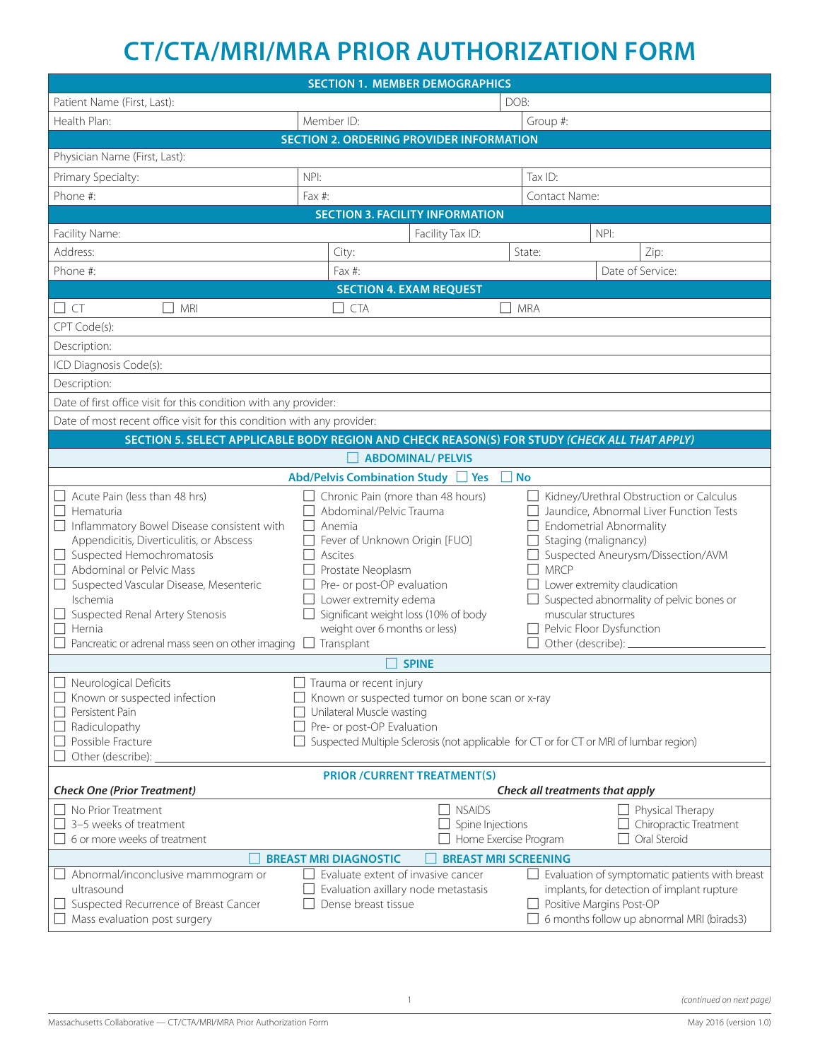## **CT/CTA/MRI/MRA PRIOR AUTHORIZATION FORM**

| <b>SECTION 1. MEMBER DEMOGRAPHICS</b>                                                                                                                                                                                                                                                                                                                                                                                                                      |                                                                                                                                                                                                                                                                                                                                                                                                                |                                                                          |                                                                                                               |                                                                                                                                                                                                                                              |  |
|------------------------------------------------------------------------------------------------------------------------------------------------------------------------------------------------------------------------------------------------------------------------------------------------------------------------------------------------------------------------------------------------------------------------------------------------------------|----------------------------------------------------------------------------------------------------------------------------------------------------------------------------------------------------------------------------------------------------------------------------------------------------------------------------------------------------------------------------------------------------------------|--------------------------------------------------------------------------|---------------------------------------------------------------------------------------------------------------|----------------------------------------------------------------------------------------------------------------------------------------------------------------------------------------------------------------------------------------------|--|
| Patient Name (First, Last):                                                                                                                                                                                                                                                                                                                                                                                                                                | DOB:                                                                                                                                                                                                                                                                                                                                                                                                           |                                                                          |                                                                                                               |                                                                                                                                                                                                                                              |  |
| Health Plan:                                                                                                                                                                                                                                                                                                                                                                                                                                               | Member ID:                                                                                                                                                                                                                                                                                                                                                                                                     |                                                                          | Group #:                                                                                                      |                                                                                                                                                                                                                                              |  |
| <b>SECTION 2. ORDERING PROVIDER INFORMATION</b>                                                                                                                                                                                                                                                                                                                                                                                                            |                                                                                                                                                                                                                                                                                                                                                                                                                |                                                                          |                                                                                                               |                                                                                                                                                                                                                                              |  |
| Physician Name (First, Last):                                                                                                                                                                                                                                                                                                                                                                                                                              |                                                                                                                                                                                                                                                                                                                                                                                                                |                                                                          |                                                                                                               |                                                                                                                                                                                                                                              |  |
| Primary Specialty:                                                                                                                                                                                                                                                                                                                                                                                                                                         | NPI:                                                                                                                                                                                                                                                                                                                                                                                                           |                                                                          | Tax $ID:$                                                                                                     |                                                                                                                                                                                                                                              |  |
| Phone #:                                                                                                                                                                                                                                                                                                                                                                                                                                                   | Contact Name:<br>Fax #:                                                                                                                                                                                                                                                                                                                                                                                        |                                                                          |                                                                                                               |                                                                                                                                                                                                                                              |  |
| <b>SECTION 3. FACILITY INFORMATION</b>                                                                                                                                                                                                                                                                                                                                                                                                                     |                                                                                                                                                                                                                                                                                                                                                                                                                |                                                                          |                                                                                                               |                                                                                                                                                                                                                                              |  |
| Facility Name:                                                                                                                                                                                                                                                                                                                                                                                                                                             |                                                                                                                                                                                                                                                                                                                                                                                                                | Facility Tax ID:                                                         |                                                                                                               | NPI:                                                                                                                                                                                                                                         |  |
| Address:                                                                                                                                                                                                                                                                                                                                                                                                                                                   | City:                                                                                                                                                                                                                                                                                                                                                                                                          |                                                                          | State:                                                                                                        | Zip:                                                                                                                                                                                                                                         |  |
| Phone #:                                                                                                                                                                                                                                                                                                                                                                                                                                                   | Fax #:                                                                                                                                                                                                                                                                                                                                                                                                         |                                                                          |                                                                                                               | Date of Service:                                                                                                                                                                                                                             |  |
| <b>SECTION 4. EXAM REQUEST</b>                                                                                                                                                                                                                                                                                                                                                                                                                             |                                                                                                                                                                                                                                                                                                                                                                                                                |                                                                          |                                                                                                               |                                                                                                                                                                                                                                              |  |
| $\Box$ CT<br>i i mri                                                                                                                                                                                                                                                                                                                                                                                                                                       | i i cta                                                                                                                                                                                                                                                                                                                                                                                                        | $\Box$ MRA                                                               |                                                                                                               |                                                                                                                                                                                                                                              |  |
| CPT Code(s):                                                                                                                                                                                                                                                                                                                                                                                                                                               |                                                                                                                                                                                                                                                                                                                                                                                                                |                                                                          |                                                                                                               |                                                                                                                                                                                                                                              |  |
|                                                                                                                                                                                                                                                                                                                                                                                                                                                            |                                                                                                                                                                                                                                                                                                                                                                                                                |                                                                          |                                                                                                               |                                                                                                                                                                                                                                              |  |
| Description:<br>ICD Diagnosis Code(s):                                                                                                                                                                                                                                                                                                                                                                                                                     |                                                                                                                                                                                                                                                                                                                                                                                                                |                                                                          |                                                                                                               |                                                                                                                                                                                                                                              |  |
| Description:                                                                                                                                                                                                                                                                                                                                                                                                                                               |                                                                                                                                                                                                                                                                                                                                                                                                                |                                                                          |                                                                                                               |                                                                                                                                                                                                                                              |  |
|                                                                                                                                                                                                                                                                                                                                                                                                                                                            |                                                                                                                                                                                                                                                                                                                                                                                                                |                                                                          |                                                                                                               |                                                                                                                                                                                                                                              |  |
| Date of first office visit for this condition with any provider:                                                                                                                                                                                                                                                                                                                                                                                           |                                                                                                                                                                                                                                                                                                                                                                                                                |                                                                          |                                                                                                               |                                                                                                                                                                                                                                              |  |
| Date of most recent office visit for this condition with any provider:                                                                                                                                                                                                                                                                                                                                                                                     |                                                                                                                                                                                                                                                                                                                                                                                                                |                                                                          |                                                                                                               |                                                                                                                                                                                                                                              |  |
| SECTION 5. SELECT APPLICABLE BODY REGION AND CHECK REASON(S) FOR STUDY (CHECK ALL THAT APPLY)                                                                                                                                                                                                                                                                                                                                                              |                                                                                                                                                                                                                                                                                                                                                                                                                |                                                                          |                                                                                                               |                                                                                                                                                                                                                                              |  |
|                                                                                                                                                                                                                                                                                                                                                                                                                                                            | <b>ABDOMINAL/ PELVIS</b><br>Abd/Pelvis Combination Study □ Yes                                                                                                                                                                                                                                                                                                                                                 | $\Box$ No                                                                |                                                                                                               |                                                                                                                                                                                                                                              |  |
| $\Box$ Acute Pain (less than 48 hrs)<br>$\Box$ Hematuria<br>□ Inflammatory Bowel Disease consistent with<br>Appendicitis, Diverticulitis, or Abscess<br>$\Box$ Suspected Hemochromatosis<br>Abdominal or Pelvic Mass<br>□ Suspected Vascular Disease, Mesenteric<br>Ischemia<br>□ Suspected Renal Artery Stenosis<br>Hernia<br>Pancreatic or adrenal mass seen on other imaging $\Box$ Transplant<br>Neurological Deficits<br>Known or suspected infection | $\Box$ Chronic Pain (more than 48 hours)<br>$\Box$ Abdominal/Pelvic Trauma<br>$\Box$ Anemia<br>Fever of Unknown Origin [FUO]<br>Ascites<br>Prostate Neoplasm<br>$\Box$ Pre- or post-OP evaluation<br>$\Box$ Lower extremity edema<br>Significant weight loss (10% of body<br>weight over 6 months or less)<br><b>SPINE</b><br>$\Box$ Trauma or recent injury<br>Known or suspected tumor on bone scan or x-ray |                                                                          | Staging (malignancy)<br>$\Box$ MRCP<br>muscular structures<br>Pelvic Floor Dysfunction<br>Other (describe): _ | Kidney/Urethral Obstruction or Calculus<br>Jaundice, Abnormal Liver Function Tests<br><b>Endometrial Abnormality</b><br>Suspected Aneurysm/Dissection/AVM<br>Lower extremity claudication<br>$\Box$ Suspected abnormality of pelvic bones or |  |
| Unilateral Muscle wasting<br>Persistent Pain<br>Radiculopathy<br>Pre- or post-OP Evaluation<br>Possible Fracture<br>Suspected Multiple Sclerosis (not applicable for CT or for CT or MRI of lumbar region)<br>Other (describe):                                                                                                                                                                                                                            |                                                                                                                                                                                                                                                                                                                                                                                                                |                                                                          |                                                                                                               |                                                                                                                                                                                                                                              |  |
| <b>PRIOR /CURRENT TREATMENT(S)</b>                                                                                                                                                                                                                                                                                                                                                                                                                         |                                                                                                                                                                                                                                                                                                                                                                                                                |                                                                          |                                                                                                               |                                                                                                                                                                                                                                              |  |
| <b>Check One (Prior Treatment)</b><br>Check all treatments that apply                                                                                                                                                                                                                                                                                                                                                                                      |                                                                                                                                                                                                                                                                                                                                                                                                                |                                                                          |                                                                                                               |                                                                                                                                                                                                                                              |  |
| l I No Prior Treatment<br>$\Box$ 3-5 weeks of treatment<br>6 or more weeks of treatment                                                                                                                                                                                                                                                                                                                                                                    |                                                                                                                                                                                                                                                                                                                                                                                                                | $\Box$ NSAIDS<br>$\Box$ Spine Injections<br>$\Box$ Home Exercise Program |                                                                                                               | $\Box$ Physical Therapy<br>Chiropractic Treatment<br>Oral Steroid                                                                                                                                                                            |  |
| <b>BREAST MRI DIAGNOSTIC</b><br><b>BREAST MRI SCREENING</b>                                                                                                                                                                                                                                                                                                                                                                                                |                                                                                                                                                                                                                                                                                                                                                                                                                |                                                                          |                                                                                                               |                                                                                                                                                                                                                                              |  |
| Abnormal/inconclusive mammogram or<br>ultrasound<br>Suspected Recurrence of Breast Cancer<br>Mass evaluation post surgery                                                                                                                                                                                                                                                                                                                                  | Evaluate extent of invasive cancer<br>Evaluation axillary node metastasis<br>Dense breast tissue                                                                                                                                                                                                                                                                                                               |                                                                          |                                                                                                               | Evaluation of symptomatic patients with breast<br>implants, for detection of implant rupture<br>Positive Margins Post-OP<br>6 months follow up abnormal MRI (birads3)                                                                        |  |

l